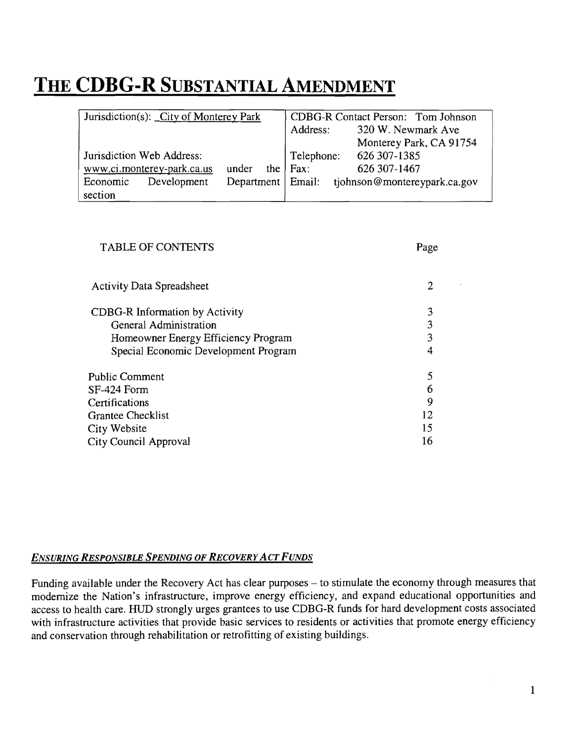# **THE CDBG-R SUBSTANTIAL AMENDMENT**

| Jurisdiction(s): City of Monterey Park |                            |       | CDBG-R Contact Person: Tom Johnson |                     |                              |
|----------------------------------------|----------------------------|-------|------------------------------------|---------------------|------------------------------|
|                                        |                            |       |                                    | Address:            | 320 W. Newmark Ave           |
|                                        |                            |       |                                    |                     | Monterey Park, CA 91754      |
|                                        | Jurisdiction Web Address:  |       |                                    | Telephone:          | 626 307-1385                 |
|                                        | www.ci.monterey-park.ca.us | under |                                    | the $ $ Fax:        | 626 307-1467                 |
| Economic                               | Development                |       |                                    | Department   Email: | tjohnson@montereypark.ca.gov |
| section                                |                            |       |                                    |                     |                              |

| <b>TABLE OF CONTENTS</b>              | Page |
|---------------------------------------|------|
| <b>Activity Data Spreadsheet</b>      | 2    |
| <b>CDBG-R</b> Information by Activity | 3    |
| General Administration                | 3    |
| Homeowner Energy Efficiency Program   | 3    |
| Special Economic Development Program  | 4    |
| <b>Public Comment</b>                 | 5    |
| SF-424 Form                           | 6    |
| Certifications                        | 9    |
| <b>Grantee Checklist</b>              | 12   |
| City Website                          | 15   |
| City Council Approval                 | 16   |

### *ENSURING RESPONSIBLE SPENDING OF RECOVERY ACT FUNDS*

Funding available under the Recovery Act has clear purposes - to stimulate the economy through measures that modernize the Nation's infrastructure, improve energy efficiency, and expand educational opportunities and access to health care. HUD strongly urges grantees to use CDBG-R funds for hard development costs associated with infrastructure activities that provide basic services to residents or activities that promote energy efficiency and conservation through rehabilitation or retrofitting of existing buildings.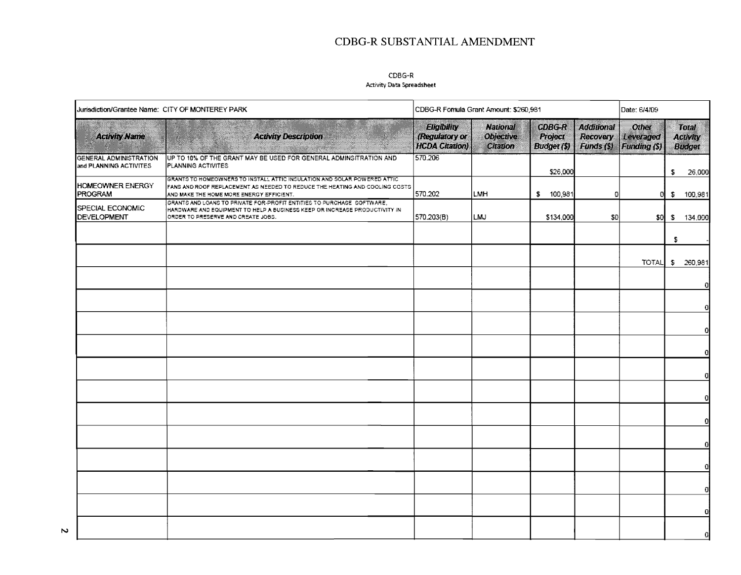## **CDBG-R SUBSTANTIAL AMENDMENT**

### CDBG-R

#### Activity Data Spreadsheet

| Jurisdiction/Grantee Name: CITY OF MONTEREY PARK        |                                                                                                                                                                                                      | CDBG-R Fornula Grant Amount: \$260,981                 |                                                 |                                                |                                                          | Date: 6/4/09                                    |     |                                           |
|---------------------------------------------------------|------------------------------------------------------------------------------------------------------------------------------------------------------------------------------------------------------|--------------------------------------------------------|-------------------------------------------------|------------------------------------------------|----------------------------------------------------------|-------------------------------------------------|-----|-------------------------------------------|
| <b>Activity Name</b>                                    | <b>Activity Description</b>                                                                                                                                                                          | Eligibility<br>(Regulatory or<br><b>HCDA Citation)</b> | <b>National</b><br><b>Objective</b><br>Citation | <b>CDBG-R</b><br>Project<br><b>Budget</b> (\$) | <b>Additional</b><br><b>Recovery</b><br><b>Funds (S)</b> | <b>Other</b><br>Leveraged<br><b>Funding (S)</b> |     | Total<br><b>Activity</b><br><b>Budget</b> |
| <b>GENERAL ADMINISTRATION</b><br>and PLANNING ACTIVITES | UP TO 10% OF THE GRANT MAY BE USED FOR GENERAL ADMINSITRATION AND<br>PLANNING ACTIVITES                                                                                                              | 570.206                                                |                                                 | \$26,000                                       |                                                          |                                                 | \$  | 26,000                                    |
| HOMEOWNER ENERGY<br><b>PROGRAM</b>                      | GRANTS TO HOMEOWNERS TO INSTALL ATTIC INSULATION AND SOLAR POWERED ATTIC.<br>FANS AND ROOF REPLACEMENT AS NEEDED TO REDUCE THE HEATING AND COOLING COSTS<br>AND MAKE THE HOME MORE ENERGY EFFICIENT. | 570.202                                                | LMH                                             | s.<br>100,981                                  | a                                                        | o                                               | ÷.  | 100,981                                   |
| SPECIAL ECONOMIC<br><b>DEVELOPMENT</b>                  | GRANTS AND LOANS TO PRIVATE FOR-PROFIT ENTITIES TO PURCHASE SOFTWARE,<br>HARDWARE AND EQUIPMENT TO HELP A BUSINESS KEEP OR INCREASE PRODUCTIVITY #N<br>ORDER TO PRESERVE AND CREATE JOBS.            | 570.203(B)                                             | LMJ.                                            | \$134,000                                      | \$0                                                      | -\$0                                            | - 5 | 134,000                                   |
|                                                         |                                                                                                                                                                                                      |                                                        |                                                 |                                                |                                                          |                                                 | Ş.  |                                           |
|                                                         |                                                                                                                                                                                                      |                                                        |                                                 |                                                |                                                          | <b>TOTAL</b>                                    |     | \$260,981                                 |
|                                                         |                                                                                                                                                                                                      |                                                        |                                                 |                                                |                                                          |                                                 |     | $^{\circ}$                                |
|                                                         |                                                                                                                                                                                                      |                                                        |                                                 |                                                |                                                          |                                                 |     | $\mathbf{Q}$                              |
|                                                         |                                                                                                                                                                                                      |                                                        |                                                 |                                                |                                                          |                                                 |     | α                                         |
|                                                         |                                                                                                                                                                                                      |                                                        |                                                 |                                                |                                                          |                                                 |     | $\mathbf{0}$                              |
|                                                         |                                                                                                                                                                                                      |                                                        |                                                 |                                                |                                                          |                                                 |     | $\mathbf 0$                               |
|                                                         |                                                                                                                                                                                                      |                                                        |                                                 |                                                |                                                          |                                                 |     | 0                                         |
|                                                         |                                                                                                                                                                                                      |                                                        |                                                 |                                                |                                                          |                                                 |     | o                                         |
|                                                         |                                                                                                                                                                                                      |                                                        |                                                 |                                                |                                                          |                                                 |     | $\alpha$                                  |
|                                                         |                                                                                                                                                                                                      |                                                        |                                                 |                                                |                                                          |                                                 |     | G.                                        |
|                                                         |                                                                                                                                                                                                      |                                                        |                                                 |                                                |                                                          |                                                 |     | 0l                                        |
|                                                         |                                                                                                                                                                                                      |                                                        |                                                 |                                                |                                                          |                                                 |     | $\Omega$                                  |
|                                                         |                                                                                                                                                                                                      |                                                        |                                                 |                                                |                                                          |                                                 |     | $\mathbf 0$                               |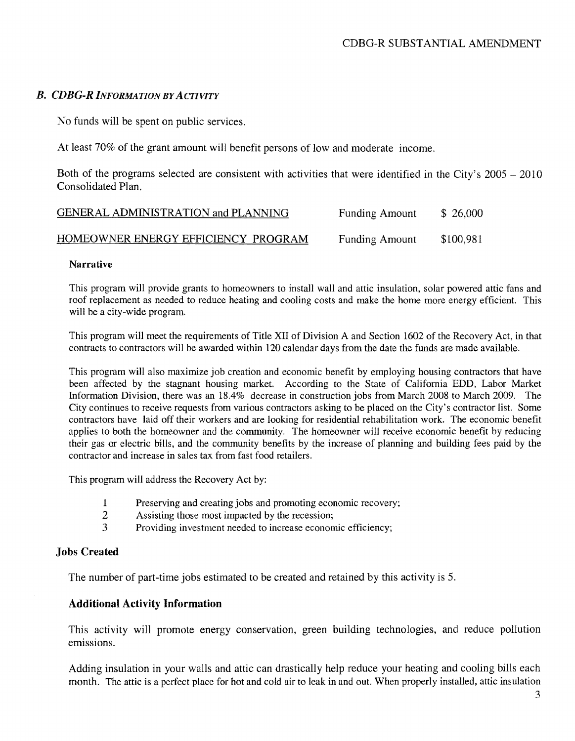### B. CDBG-R *INFORMATION BYACTIVITY*

No funds will be spent on public services.

At least 70% of the grant amount will benefit persons of low and moderate income.

Both of the programs selected are consistent with activities that were identified in the City's  $2005 - 2010$ Consolidated Plan.

| GENERAL ADMINISTRATION and PLANNING | <b>Funding Amount</b> | \$26,000  |
|-------------------------------------|-----------------------|-----------|
| HOMEOWNER ENERGY EFFICIENCY PROGRAM | <b>Funding Amount</b> | \$100,981 |

### Narrative

This program will provide grants to homeowners to install wall and attic insulation, solar powered attic fans and roof replacement as needed to reduce heating and cooling costs and make the home more energy efficient. This will be a city-wide program.

This program will meet the requirements of Title XII of Division A and Section 1602 of the Recovery Act, in that contracts to contractors will be awarded within 120 calendar days from the date the funds are made available.

This program will also maximize job creation and economic benefit by employing housing contractors that have been affected by the stagnant housing market. According to the State of California EDD, Labor Market Information Division, there was an 18.4% decrease in construction jobs from March 2008 to March 2009. The City continues to receive requests from various contractors asking to be placed on the City's contractor list. Some contractors have laid off their workers and are looking for residential rehabilitation work. The economic benefit applies to both the homeowner and the community. The homeowner will receive economic benefit by reducing their gas or electric bills, and the community benefits by the increase of planning and building fees paid by the contractor and increase in sales tax from fast food retailers.

This program will address the Recovery Act by:

- 1 Preserving and creating jobs and promoting economic recovery;
- 2 Assisting those most impacted by the recession;
- 3 Providing investment needed to increase economic efficiency;

### Jobs Created

The number of part-time jobs estimated to be created and retained by this activity is 5.

### Additional Activity Information

This activity will promote energy conservation, green building technologies, and reduce pollution emissions.

Adding insulation in your walls and attic can drastically help reduce your heating and cooling bills each month. The attic is a perfect place for hot and cold air to leak in and out. When properly installed, attic insulation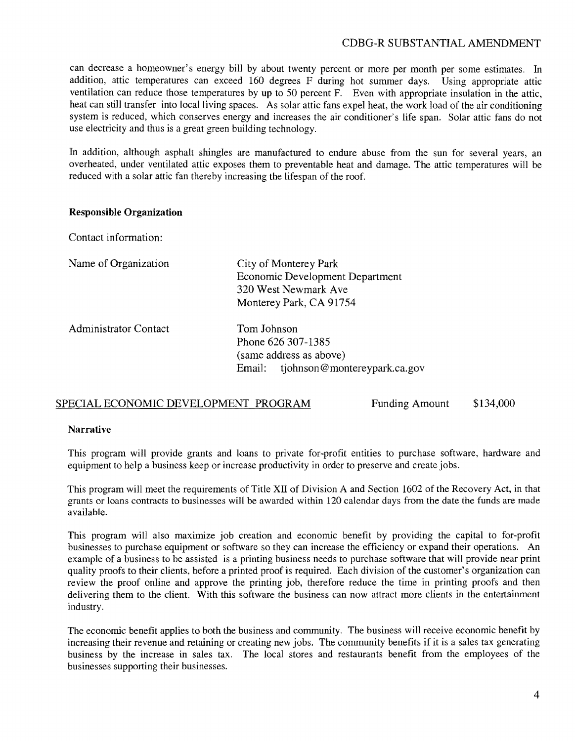### CDBO-R SlJBSTANTIAL AMENDMENT

can decrease a homeowner's energy bill by about twenty percent or more per month per some estimates. In addition, attic temperatures can exceed 160 degrees F during hot summer days. Using appropriate attic ventilation can reduce those temperatures by up to 50 percent F. Even with appropriate insulation in the attic, heat can still transfer into local living spaces. As solar attic fans expel heat, the work load of the air conditioning system is reduced, which conserves energy and increases the air conditioner's life span. Solar attic fans do not use electricity and thus is a great green building technology.

In addition, although asphalt shingles are manufactured to endure abuse from the sun for several years, an overheated, under ventilated attic exposes them to preventable heat and damage. The attic temperatures will be reduced with a solar attic fan thereby increasing the lifespan of the roof.

### **Responsible Organization**

Contact information:

|  | Name of Organization |  |
|--|----------------------|--|
|  |                      |  |

| Organization | City of Monterey Park                  |
|--------------|----------------------------------------|
|              | <b>Economic Development Department</b> |
|              | 320 West Newmark Ave                   |
|              | Monterey Park, CA 91754                |
|              |                                        |

| Administrator Contact | Tom Johnson                         |  |
|-----------------------|-------------------------------------|--|
|                       | Phone 626 307-1385                  |  |
|                       | (same address as above)             |  |
|                       | Email: tjohnson@montereypark.ca.gov |  |

### SPECIAL ECONOMIC DEVELOPMENT PROGRAM Funding Amount \$134,000

# **Narrative**

This program will provide grants and loans to private for-profit entities to purchase software, hardware and equipment to help a business keep or increase productivity in order to preserve and create jobs.

This program will meet the requirements of Title XII of Division A and Section 1602 of the Recovery Act, in that grants or loans contracts to businesses will be awarded within 120 calendar days from the date the funds are made available.

This program will also maximize job creation and economic benefit by providing the capital to for-profit businesses to purchase equipment or software so they can increase the efficiency or expand their operations. An example of a business to be assisted is a printing business needs to purchase software that will provide near print quality proofs to their clients, before a printed proof is required. Each division of the customer's organization can review the proof online and approve the printing job, therefore reduce the time in printing proofs and then delivering them to the client. With this software the business can now attract more clients in the entertainment industry.

The economic benefit applies to both the business and community. The business will receive economic benefit by increasing their revenue and retaining or creating new jobs. The community benefits if it is a sales tax generating business by the increase in sales tax. The local stores and restaurants benefit from the employees of the businesses supporting their businesses.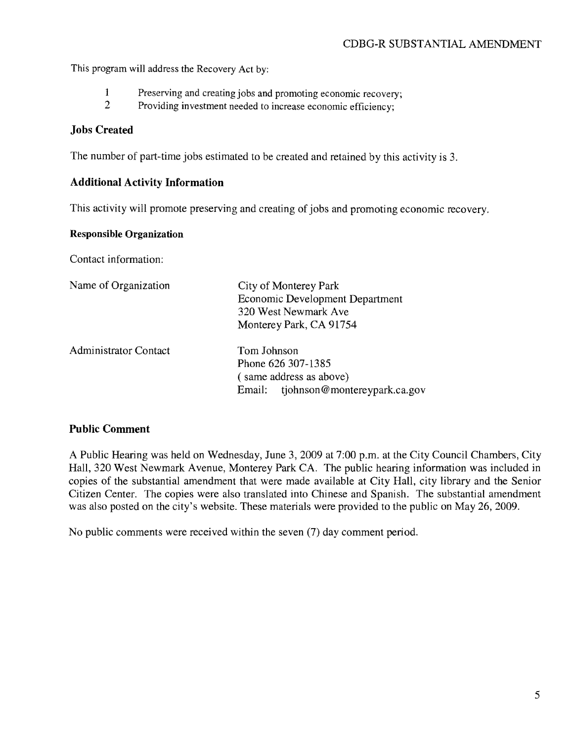This program will address the Recovery Act by:

- 1 Preserving and creating jobs and promoting economic recovery;<br>2 Providing investment needed to increase economic efficiency:
- Providing investment needed to increase economic efficiency:

### **Jobs Created**

The number of part-time jobs estimated to be created and retained by this activity is 3.

### **Additional Activity Information**

This activity will promote preserving and creating of jobs and promoting economic recovery.

### **Responsible Organization**

Contact information:

| Name of Organization         | City of Monterey Park<br><b>Economic Development Department</b><br>320 West Newmark Ave<br>Monterey Park, CA 91754 |
|------------------------------|--------------------------------------------------------------------------------------------------------------------|
| <b>Administrator Contact</b> | Tom Johnson<br>Phone 626 307-1385<br>(same address as above)<br>tjohnson@montereypark.ca.gov<br>Email:             |

### **Public Comment**

A Public Hearing was held on Wednesday, June 3, 2009 at 7:00 p.m. at the City Council Chambers, City Hall, 320 West Newmark Avenue, Monterey Park CA. The public hearing information was included in copies of the substantial amendment that were made available at City Hall, city library and the Senior Citizen Center. The copies were also translated into Chinese and Spanish. The substantial amendment was also posted on the city's website. These materials were provided to the public on May 26,2009.

No public comments were received within the seven (7) day comment period.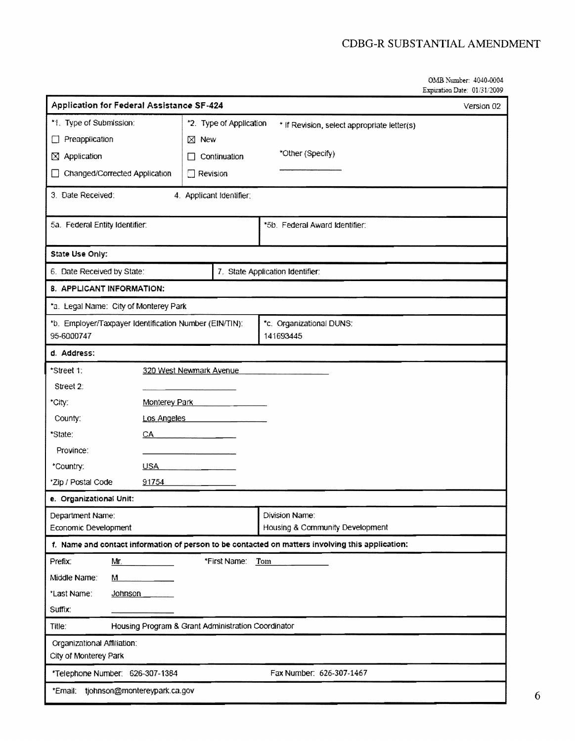OMB Number: 41}40-0004 Expiration Date: 01/31/2009

| <b>Application for Federal Assistance SF-424</b>                                                              |                                                    |                                                                                                  | Version 02 |  |
|---------------------------------------------------------------------------------------------------------------|----------------------------------------------------|--------------------------------------------------------------------------------------------------|------------|--|
| *1. Type of Submission:                                                                                       | *2. Type of Application                            | * If Revision, select appropriate letter(s)                                                      |            |  |
| Preapplication<br>$\Box$                                                                                      | $\boxtimes$ New                                    |                                                                                                  |            |  |
| $\boxtimes$ Application                                                                                       | Continuation<br>П                                  | *Other (Specify)                                                                                 |            |  |
| Changed/Corrected Application<br>$\overline{\phantom{a}}$                                                     | Revision<br>ÎΙ                                     |                                                                                                  |            |  |
| 3. Date Received:                                                                                             | 4. Applicant Identifier:                           |                                                                                                  |            |  |
| 5a. Federal Entity Identifier:                                                                                |                                                    | *5b. Federal Award Identifier:                                                                   |            |  |
| State Use Only:                                                                                               |                                                    |                                                                                                  |            |  |
| 6. Date Received by State:                                                                                    |                                                    | 7. State Application Identifier:                                                                 |            |  |
| 8. APPLICANT INFORMATION:                                                                                     |                                                    |                                                                                                  |            |  |
| *a. Legal Name: City of Monterey Park                                                                         |                                                    |                                                                                                  |            |  |
| *b. Employer/Taxpayer Identification Number (EIN/TIN):<br>*c. Organizational DUNS:<br>95-6000747<br>141693445 |                                                    |                                                                                                  |            |  |
| d. Address:                                                                                                   |                                                    |                                                                                                  |            |  |
| *Street 1:                                                                                                    | 320 West Newmark Avenue                            |                                                                                                  |            |  |
| Street 2:                                                                                                     |                                                    |                                                                                                  |            |  |
| *City:                                                                                                        | Monterey Park                                      |                                                                                                  |            |  |
| County:                                                                                                       | Los Angeles                                        |                                                                                                  |            |  |
| *State:<br>CA.                                                                                                |                                                    |                                                                                                  |            |  |
| Province:                                                                                                     |                                                    |                                                                                                  |            |  |
| *Country:<br><b>USA</b>                                                                                       |                                                    |                                                                                                  |            |  |
| *Zip / Postal Code<br>91754<br>e. Organizational Unit:                                                        |                                                    |                                                                                                  |            |  |
| Department Name:                                                                                              |                                                    | Division Name:                                                                                   |            |  |
| Economic Development                                                                                          |                                                    | Housing & Community Development                                                                  |            |  |
|                                                                                                               |                                                    | f. Name and contact information of person to be contacted on matters involving this application: |            |  |
| Prefix:<br>Mr.                                                                                                | *First Name:                                       | Tom                                                                                              |            |  |
| Middle Name:<br>M.                                                                                            |                                                    |                                                                                                  |            |  |
| *Last Name:<br><b>Johnson</b>                                                                                 |                                                    |                                                                                                  |            |  |
| Suffix:                                                                                                       |                                                    |                                                                                                  |            |  |
| Title:                                                                                                        | Housing Program & Grant Administration Coordinator |                                                                                                  |            |  |
| Organizational Affiliation:<br>City of Monterey Park                                                          |                                                    |                                                                                                  |            |  |
| *Telephone Number: 626-307-1384                                                                               |                                                    | Fax Number: 626-307-1467                                                                         |            |  |
| *Email: tjohnson@montereypark.ca.gov                                                                          |                                                    |                                                                                                  |            |  |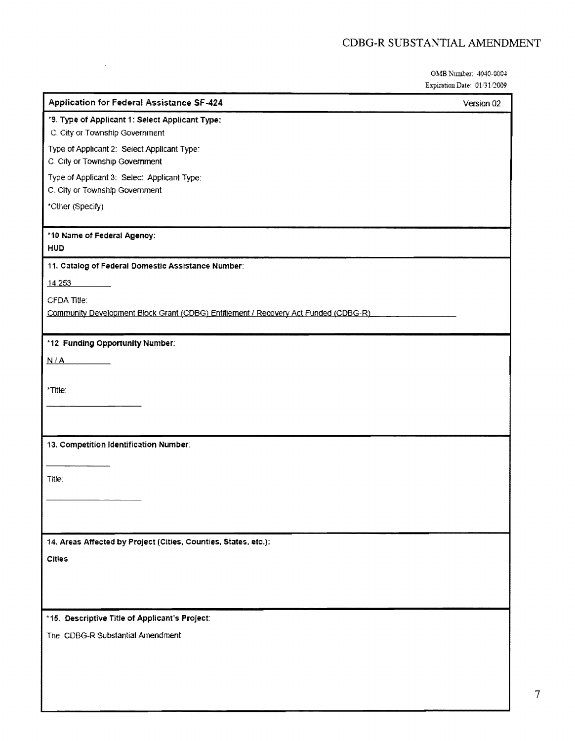## CDBG-R SUBSTANTIAL AMENDMENT

OMB Number: 4040-0004 Expiration Date:  $01/31/2009$ 

| <b>Application for Federal Assistance SF-424</b>                                    | Version 02 |
|-------------------------------------------------------------------------------------|------------|
| '9. Type of Applicant 1: Select Applicant Type:                                     |            |
| C. City or Township Government                                                      |            |
| Type of Applicant 2: Select Applicant Type:<br>C. City or Township Government       |            |
| Type of Applicant 3: Select Applicant Type:<br>C. City or Township Government       |            |
| *Other (Specify)                                                                    |            |
| *10 Name of Federal Agency:                                                         |            |
| HUD                                                                                 |            |
| 11. Catalog of Federal Domestic Assistance Number:                                  |            |
| 14.253                                                                              |            |
| <b>CFDA Title:</b>                                                                  |            |
| Community Development Block Grant (CDBG) Entitlement / Recovery Act Funded (CDBG-R) |            |
|                                                                                     |            |
| *12 Funding Opportunity Number:                                                     |            |
| N/A                                                                                 |            |
|                                                                                     |            |
| "Title:                                                                             |            |
|                                                                                     |            |
|                                                                                     |            |
| 13. Competition Identification Number:                                              |            |
|                                                                                     |            |
| Title:                                                                              |            |
|                                                                                     |            |
|                                                                                     |            |
|                                                                                     |            |
| 14. Areas Affected by Project (Cities, Counties, States, etc.):                     |            |
| <b>Cities</b>                                                                       |            |
|                                                                                     |            |
|                                                                                     |            |
|                                                                                     |            |
| *15. Descriptive Title of Applicant's Project:                                      |            |
| The CDBG-R Substantial Amendment                                                    |            |
|                                                                                     |            |
|                                                                                     |            |
|                                                                                     |            |

 $\bar{z}$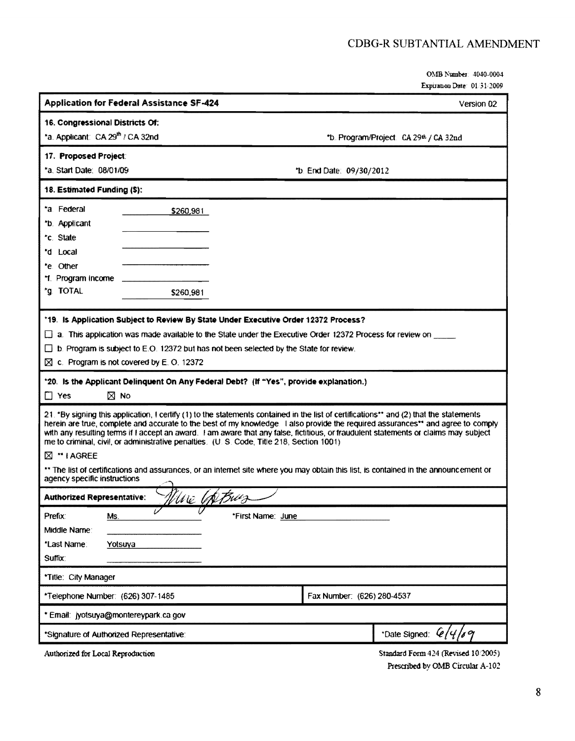OMB Number: 4040-0004 Expuation Date: 01/31/2009

|                                                                                                                                                                                                                                                                                                                                                                                                                                                                                                                | <b>Application for Federal Assistance SF-424</b>                                                                                                                      |                                                                                                                         |                          | Version 02                             |
|----------------------------------------------------------------------------------------------------------------------------------------------------------------------------------------------------------------------------------------------------------------------------------------------------------------------------------------------------------------------------------------------------------------------------------------------------------------------------------------------------------------|-----------------------------------------------------------------------------------------------------------------------------------------------------------------------|-------------------------------------------------------------------------------------------------------------------------|--------------------------|----------------------------------------|
| 16. Congressional Districts Of:                                                                                                                                                                                                                                                                                                                                                                                                                                                                                |                                                                                                                                                                       |                                                                                                                         |                          |                                        |
| *a. Applicant: CA 29 <sup>th</sup> / CA 32nd                                                                                                                                                                                                                                                                                                                                                                                                                                                                   |                                                                                                                                                                       |                                                                                                                         |                          | *b. Program/Project: CA 29th / CA 32nd |
| 17. Proposed Project:                                                                                                                                                                                                                                                                                                                                                                                                                                                                                          |                                                                                                                                                                       |                                                                                                                         |                          |                                        |
| *a. Start Date: 08/01/09                                                                                                                                                                                                                                                                                                                                                                                                                                                                                       |                                                                                                                                                                       |                                                                                                                         | *b. End Date: 09/30/2012 |                                        |
| 18. Estimated Funding (\$):                                                                                                                                                                                                                                                                                                                                                                                                                                                                                    |                                                                                                                                                                       |                                                                                                                         |                          |                                        |
| *a Federal                                                                                                                                                                                                                                                                                                                                                                                                                                                                                                     | \$260,981                                                                                                                                                             |                                                                                                                         |                          |                                        |
| *b. Applicant                                                                                                                                                                                                                                                                                                                                                                                                                                                                                                  |                                                                                                                                                                       |                                                                                                                         |                          |                                        |
| *c. State                                                                                                                                                                                                                                                                                                                                                                                                                                                                                                      |                                                                                                                                                                       |                                                                                                                         |                          |                                        |
| *d Local                                                                                                                                                                                                                                                                                                                                                                                                                                                                                                       |                                                                                                                                                                       |                                                                                                                         |                          |                                        |
| *e. Other                                                                                                                                                                                                                                                                                                                                                                                                                                                                                                      |                                                                                                                                                                       |                                                                                                                         |                          |                                        |
| *f. Program Income                                                                                                                                                                                                                                                                                                                                                                                                                                                                                             |                                                                                                                                                                       |                                                                                                                         |                          |                                        |
| *g. TOTAL                                                                                                                                                                                                                                                                                                                                                                                                                                                                                                      | \$260,981                                                                                                                                                             |                                                                                                                         |                          |                                        |
|                                                                                                                                                                                                                                                                                                                                                                                                                                                                                                                |                                                                                                                                                                       | *19. Is Application Subject to Review By State Under Executive Order 12372 Process?                                     |                          |                                        |
|                                                                                                                                                                                                                                                                                                                                                                                                                                                                                                                |                                                                                                                                                                       | $\Box$ a. This application was made available to the State under the Executive Order 12372 Process for review on $\Box$ |                          |                                        |
|                                                                                                                                                                                                                                                                                                                                                                                                                                                                                                                |                                                                                                                                                                       | $\Box$ b. Program is subject to E.O. 12372 but has not been selected by the State for review.                           |                          |                                        |
|                                                                                                                                                                                                                                                                                                                                                                                                                                                                                                                | $\boxtimes$ c. Program is not covered by E.O. 12372                                                                                                                   |                                                                                                                         |                          |                                        |
| *20. Is the Applicant Delinquent On Any Federal Debt? (If "Yes", provide explanation.)<br>$\square$ Yes<br>$\boxtimes$ No                                                                                                                                                                                                                                                                                                                                                                                      |                                                                                                                                                                       |                                                                                                                         |                          |                                        |
| 21. "By signing this application, I certify (1) to the statements contained in the list of certifications** and (2) that the statements<br>herein are true, complete and accurate to the best of my knowledge I also provide the required assurances** and agree to comply<br>with any resulting terms if I accept an award. I am aware that any false, fictitious, or fraudulent statements or claims may subject<br>me to criminal, civil, or administrative penalties. (U.S. Code, Title 218, Section 1001) |                                                                                                                                                                       |                                                                                                                         |                          |                                        |
| $\boxtimes$ " I AGREE                                                                                                                                                                                                                                                                                                                                                                                                                                                                                          |                                                                                                                                                                       |                                                                                                                         |                          |                                        |
|                                                                                                                                                                                                                                                                                                                                                                                                                                                                                                                | ** The list of certifications and assurances, or an internet site where you may obtain this list, is contained in the announcement or<br>agency specific instructions |                                                                                                                         |                          |                                        |
|                                                                                                                                                                                                                                                                                                                                                                                                                                                                                                                | Vive UNBwz<br><b>Authorized Representative:</b>                                                                                                                       |                                                                                                                         |                          |                                        |
| Prefix:<br>Ms.                                                                                                                                                                                                                                                                                                                                                                                                                                                                                                 |                                                                                                                                                                       | "First Name: June                                                                                                       |                          |                                        |
| Middle Name:                                                                                                                                                                                                                                                                                                                                                                                                                                                                                                   |                                                                                                                                                                       |                                                                                                                         |                          |                                        |
| *Last Name:                                                                                                                                                                                                                                                                                                                                                                                                                                                                                                    | Yotsuya                                                                                                                                                               |                                                                                                                         |                          |                                        |
| Suffix:                                                                                                                                                                                                                                                                                                                                                                                                                                                                                                        |                                                                                                                                                                       |                                                                                                                         |                          |                                        |
| *Title: City Manager                                                                                                                                                                                                                                                                                                                                                                                                                                                                                           |                                                                                                                                                                       |                                                                                                                         |                          |                                        |
|                                                                                                                                                                                                                                                                                                                                                                                                                                                                                                                | Fax Number: (626) 280-4537<br>*Telephone Number: (626) 307-1485                                                                                                       |                                                                                                                         |                          |                                        |
| * Email: jyotsuya@montereypark.ca.gov                                                                                                                                                                                                                                                                                                                                                                                                                                                                          |                                                                                                                                                                       |                                                                                                                         |                          |                                        |
| *Date Signed: 6/4/69<br>*Signature of Authorized Representative:                                                                                                                                                                                                                                                                                                                                                                                                                                               |                                                                                                                                                                       |                                                                                                                         |                          |                                        |
| Standard Form 424 (Revised 10/2005)<br>Authorized for Local Reproduction                                                                                                                                                                                                                                                                                                                                                                                                                                       |                                                                                                                                                                       |                                                                                                                         |                          |                                        |

Prescribed by OMB Circular A-102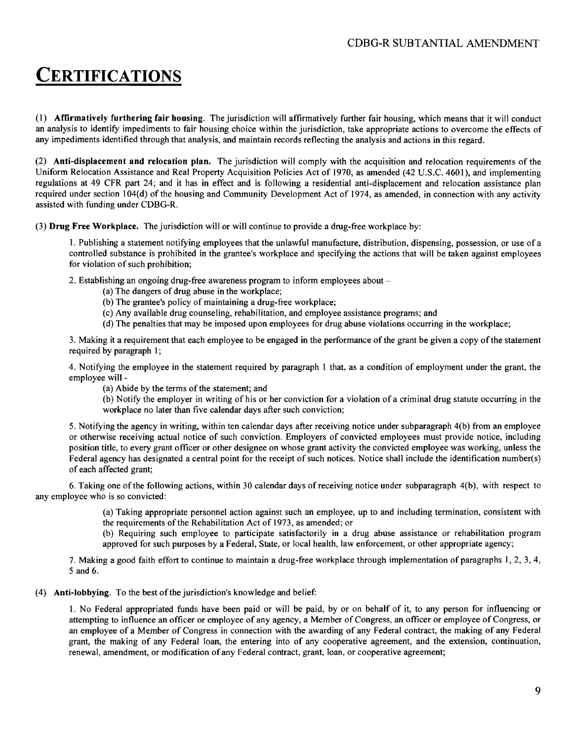# **CERTIFICATIONS**

(l) Affirmatively furthering fair housing. The jurisdiction will affirmatively further fair housing, which means that it will conduct an analysis to identify impediments to fair housing choice within the jurisdiction, take appropriate actions to overcome the effects of any impediments identified through that analysis, and maintain records reflecting the analysis and actions in this regard.

(2) Anti-displacement and relocation plan. The jurisdiction will comply with the acquisition and relocation requirements of the Uniform Relocation Assistance and Real Property Acquisition Policies Act of 1970, as amended (42 U.S.C. 4601), and implementing regulations at 49 CFR part 24; and it has in effect and is following a residential anti-displacement and relocation assistance plan required under section 104(d) of the housing and Community Development Act of 1974, as amended, in connection with any activity assisted with funding under CDBG-R.

(3) Drug Free Workplace. The jurisdiction will or will continue to provide a drug-free workplace by:

1. Publishing a statement notifying employees that the unlawful manufacture, distribution, dispensing, possession, or use of a controlled substance is prohibited in the grantee's workplace and specifying the actions that will be taken against employees for violation of such prohibition;

2. Establishing an ongoing drug-free awareness program to inform employees about

- (a) The dangers of drug abuse in the workplace;
- (b) The grantee's policy of maintaining a drug-free workplace;
- (c) Any available drug counseling, rehabilitation, and employee assistance programs; and
- (d) The penalties that may be imposed upon employees for drug abuse violations occurring in the workplace;

3. Making it a requirement that each employee to be engaged in the performance of the grant be given a copy ofthe statement required by paragraph 1;

4. Notifying the employee in the statement required by paragraph 1 that, as a condition of employment under the grant, the employee will

(a) Abide by the terms of the statement; and

(b) Notify the employer in writing of his or her conviction for a violation of a criminal drug statute occurring in the workplace no later than five calendar days after such conviction;

5. Notifying the agency in writing, within ten calendar days after receiving notice under subparagraph 4(b) from an employee or otherwise receiving actual notice of such conviction. Employers of convicted employees must provide notice, including position title, to every grant officer or other designee on whose grant activity the convicted employee was working, unless the Federal agency has designated a central point for the receipt of such notices. Notice shall include the identification number(s) of each affected grant;

6. Taking one ofthe following actions, within 30 calendar days of receiving notice under subparagraph 4(b), with respect to any employee who is so convicted:

> (a) Taking appropriate personnel action against such an employee, up to and including termination, consistent with the requirements of the Rehabilitation Act of 1973, as amended; or

> (b) Requiring such employee to participate satisfactorily in a drug abuse assistance or rehabilitation program approved for such purposes by a Federal, State, or local health, law enforcement, or other appropriate agency;

7. Making a good faith effort to continue to maintain a drug-free workplace through implementation of paragraphs 1,2,3,4, 5 and 6.

### (4) Anti-lobbying. To the best of the jurisdiction's knowledge and belief:

1. No Federal appropriated funds have been paid or will be paid, by or on behalf of it, to any person for influencing or attempting to influence an officer or employee of any agency, a Member of Congress, an officer or employee of Congress, or an employee of a Member of Congress in connection with the awarding of any Federal contract, the making of any Federal grant, the making of any Federal loan, the entering into of any cooperative agreement, and the extension, continuation, renewal, amendment, or modification ofany Federal contract, grant, loan, or cooperative agreement;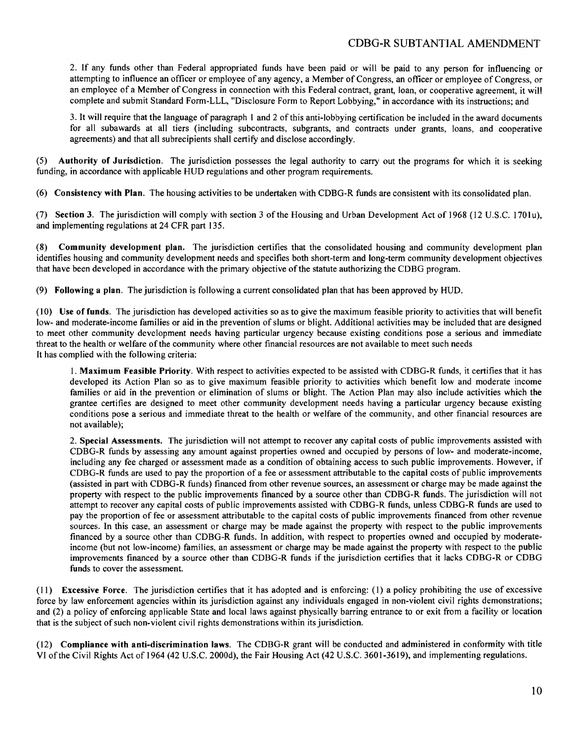### CDBG-R SUBTANTIAL AMENDMENT

2. If any funds other than Federal appropriated funds have been paid or will be paid to any person for influencing or attempting to influence an officer or employee of any agency, a Member of Congress, an officer or employee of Congress, or an employee of a Member of Congress in connection with this Federal contract, grant, loan, or cooperative agreement, it will complete and submit Standard Form-LLL, "Disclosure Form to Report Lobbying," in accordance with its instructions; and

3. It will require that the language of paragraph 1 and 2 ofthis anti-lobbying certification be included in the award documents for all subawards at all tiers (including subcontracts, subgrants, and contracts under grants, loans, and cooperative agreements) and that all subrecipients shall certify and disclose accordingly.

(5) Authority of Jurisdiction. The jurisdiction possesses the legal authority to carry out the programs for which it is seeking funding, in accordance with applicable HUD regulations and other program requirements.

(6) Consistency with Plan. The housing activities to be undertaken with CDBG-R funds are consistent with its consolidated plan.

(7) Section 3. The jurisdiction will comply with section 3 ofthe Housing and Urban Development Act of 1968 (12 U.S.c. 1701 u), and implementing regulations at 24 CFR part 135.

(8) Community development plan. The jurisdiction certifies that the consolidated housing and community development plan identifies housing and community development needs and specifies both short-term and long-term community development objectives that have been developed in accordance with the primary objective of the statute authorizing the CDBG program.

(9) Following a plan. The jurisdiction is following a current consolidated plan that has been approved by HUD.

(10) Use of funds. The jurisdiction has developed activities so as to give the maximum feasible priority to activities that will benefit low- and moderate-income families or aid in the prevention of slums or blight. Additional activities may be included that are designed to meet other community development needs having particular urgency because existing conditions pose a serious and immediate threat to the health or welfare ofthe community where other financial resources are not available to meet such needs It has complied with the following criteria:

1. Maximum Feasible Priority. With respect to activities expected to be assisted with CDBG-R funds, it certifies that it has developed its Action Plan so as to give maximum feasible priority to activities which benefit low and moderate income families or aid in the prevention or elimination of slums or blight. The Action Plan may also include activities which the grantee certifies are designed to meet other community development needs having a particular urgency because existing conditions pose a serious and immediate threat to the health or welfare of the community, and other financial resources are not available};

2. Special Assessments. The jurisdiction will not attempt to recover any capital costs of public improvements assisted with CDBG-R funds by assessing any amount against properties owned and occupied by persons of low- and moderate-income, including any fee charged or assessment made as a condition of obtaining access to such public improvements. However, if CDBG-R funds are used to pay the proportion of a fee or assessment attributable to the capital costs of public improvements (assisted in part with CDBG-R funds) financed from other revenue sources, an assessment or charge may be made against the property with respect to the public improvements financed by a source other than CDBG-R funds. The jurisdiction will not attempt to recover any capital costs of public improvements assisted with CDBG-R funds, unless CDBG-R funds are used to pay the proportion of fee or assessment attributable to the capital costs of public improvements financed from other revenue sources. In this case, an assessment or charge may be made against the property with respect to the public improvements financed by a source other than CDBG-R funds. In addition, with respect to properties owned and occupied by moderateincome (but not low-income) families, an assessment or charge may be made against the property with respect to the public improvements financed by a source other than CDBG-R funds if the jurisdiction certifies that it lacks CDBG-R or CDBG funds to cover the assessment.

(11) Excessive Force. The jurisdiction certifies that it has adopted and is enforcing: (l) a policy prohibiting the use of excessive force by law enforcement agencies within its jurisdiction against any individuals engaged in non-violent civil rights demonstrations; and (2) a policy of enforcing applicable State and local laws against physically barring entrance to or exit from a facility or location that is the subject ofsuch non-violent civil rights demonstrations within its jurisdiction.

(12) Compliance with anti-discrimination laws. The CDBG-R grant will be conducted and administered in conformity with title VI ofthe Civil Rights Act of 1964 (42 U.S.C. 2000d), the Fair Housing Act (42 U.S.C. 3601-3619), and implementing regulations.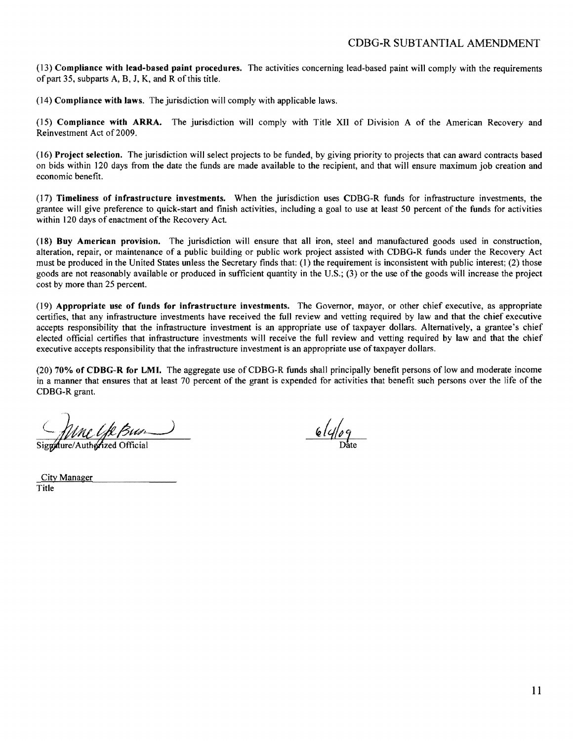(13) Compliance with lead-based paint procedures. The activities concerning lead-based paint will comply with the requirements of part 35, subparts  $A$ ,  $B$ ,  $J$ ,  $K$ , and  $R$  of this title.

(14) Compliance with laws. The jurisdiction will comply with applicable laws.

(15) Compliance with ARRA. The jurisdiction will comply with Title XII of Division A of the American Recovery and Reinvestment Act of 2009.

(16) Project selection. The jurisdiction will select projects to be funded, by giving priority to projects that can award contracts based on bids within 120 days from the date the funds are made available to the recipient, and that will ensure maximum job creation and economic benefit.

(17) Timeliness of infrastructure investments. When the jurisdiction uses CDBG-R funds for infrastructure investments, the grantee will give preference to quick-start and finish activities, including a goal to use at least 50 percent of the funds for activities within 120 days of enactment of the Recovery Act.

(18) Buy American provision. The jurisdiction will ensure that all iron, steel and manufactured goods used in construction, alteration, repair, or maintenance of a public building or public work project assisted with CDBG-R funds under the Recovery Act must be produced in the United States unless the Secretary finds that: (1) the requirement is inconsistent with public interest; (2) those goods are not reasonably available or produced in sufficient quantity in the U.S.; (3) or the use of the goods will increase the project cost by more than 25 percent.

(19) Appropriate use of funds for infrastructure investments. The Governor, mayor, or other chief executive, as appropriate certifies, that any infrastructure investments have received the full review and vetting required by law and that the chief executive accepts responsibility that the infrastructure investment is an appropriate use of taxpayer dollars. Alternatively, a grantee's chief elected official certifies that infrastructure investments will receive the full review and vetting required by law and that the chief executive accepts responsibility that the infrastructure investment is an appropriate use of taxpayer dollars.

(20) 70% of CDBG-R for LMI. The aggregate use of CDBG-R funds shall principally benefit persons of low and moderate income in a manner that ensures that at least 70 percent of the grant is expended for activities that benefit such persons over the life of the CDBG-R grant.

Signalure/Authorized Official

City Manager Title

 $6\frac{1}{\sqrt{2}}$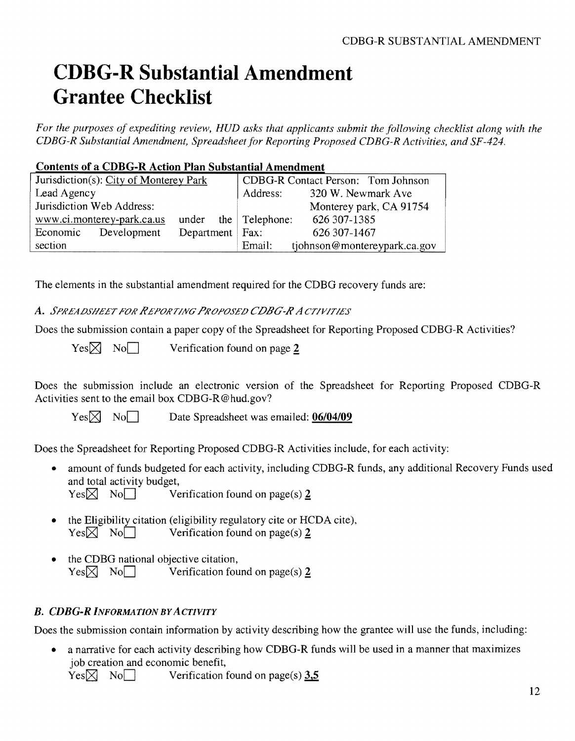# **CDBG-R Substantial Amendment Grantee Checklist**

*For the purposes of expediting review, HUD asks that applicants submit the following checklist along with the CDBG-R Substantial Amendment, Spreadsheet for Reporting Proposed CDBG-R Activities, and SF-424.* 

### **Contents of a CDBG-R Action Plan Substantial Amendment**

| Jurisdiction(s): City of Monterey Park       | CDBG-R Contact Person: Tom Johnson     |  |  |
|----------------------------------------------|----------------------------------------|--|--|
| Lead Agency                                  | Address:<br>320 W. Newmark Ave         |  |  |
| Jurisdiction Web Address:                    | Monterey park, CA 91754                |  |  |
| www.ci.monterey-park.ca.us                   | 626 307-1385<br>under the Telephone:   |  |  |
| Department   Fax:<br>Economic<br>Development | 626 307-1467                           |  |  |
| section                                      | Email:<br>tjohnson@montereypark.ca.gov |  |  |

The elements in the substantial amendment required for the CDBG recovery funds are:

A. *SPREADSHEET FOR /rEPORT/NG PROPOSED CDBG-/r* A *CT/V/T/ES* 

Does the submission contain a paper copy of the Spreadsheet for Reporting Proposed CDBG-R Activities?

 $Yes \times No$  No Verification found on page 2

Does the submission include an electronic version of the Spreadsheet for Reporting Proposed CDBG-R Activities sent to the email box CDBG-R@hud.gov?

Yes<sup> $\boxtimes$ </sup> No $\Box$  Date Spreadsheet was emailed: **06/04/09** 

Does the Spreadsheet for Reporting Proposed CDBG-R Activities include, for each activity:

- amount of funds budgeted for each activity, including CDBG-R funds, any additional Recovery Funds used and total activity budget,
	- $Yes \boxtimes No \qquad \text{Verification found on page(s)}$  2
- the Eligibility citation (eligibility regulatory cite or HCDA cite),  $Yes \times No$  NoD Verification found on page(s) 2
- the CDBG national objective citation,  $Yes \times No$  NoD Verification found on page(s) 2

### *B. CDBG-R INFORMATION BYACTIVITY*

Does the submission contain information by activity describing how the grantee will use the funds, including:

a narrative for each activity describing how CDBG-R funds will be used in a manner that maximizes job creation and economic benefit,

 $Yes \times No \longrightarrow Verification found on page(s) 3,5$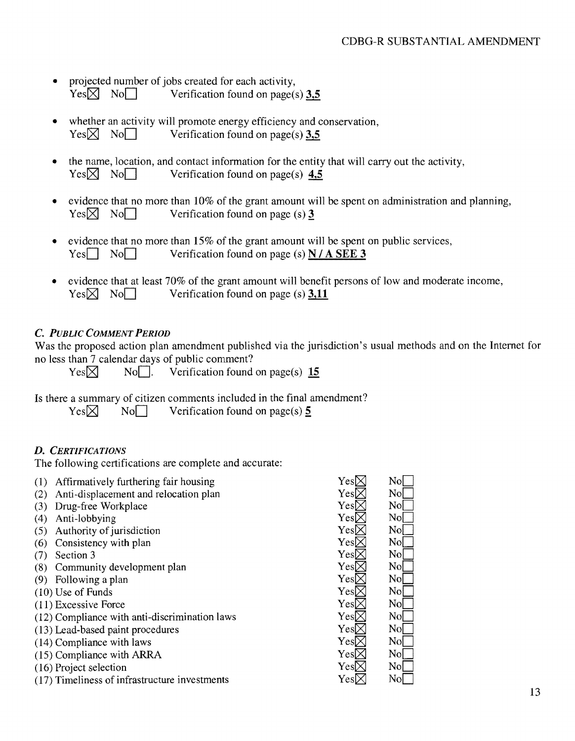### CDBG-R SlJBSTANTIAL AMENDMENT

- projected number of jobs created for each activity,<br>Yes $\boxtimes$  No $\Box$  Verification found on page( Verification found on page(s)  $3,5$
- whether an activity will promote energy efficiency and conservation,  $Yes \times No \longrightarrow$  Verification found on page(s) 3,5
- the name, location, and contact information for the entity that will carry out the activity,  $Yes \times No \longrightarrow$  Verification found on page(s) 4,5
- evidence that no more than  $10\%$  of the grant amount will be spent on administration and planning,  $Yes \times No \longrightarrow$  Verification found on page (s) 3
- evidence that no more than  $15\%$  of the grant amount will be spent on public services,  $Yes \Box No \Box$  Verification found on page (s) N / A SEE 3
- evidence that at least  $70\%$  of the grant amount will benefit persons of low and moderate income,  $Yes \boxtimes No \qquad \text{Verification found on page (s) } 3,11$

### C. *PUBLIC COMMENT PERIOD*

Was the proposed action plan amendment published via the jurisdiction's usual methods and on the Internet for no less than 7 calendar days of public comment?

 $Yes \times$  No $\Box$ . Verification found on page(s) 15

Is there a summary of citizen comments included in the final amendment?

 $Yes \boxtimes$  No $\Box$  Verification found on page(s) 5.

### D. *CERTIFICATIONS*

The following certifications are complete and accurate:

| (1) | Affirmatively furthering fair housing         | Yesl                  | No             |
|-----|-----------------------------------------------|-----------------------|----------------|
| (2) | Anti-displacement and relocation plan         | Yes[                  | No             |
| (3) | Drug-free Workplace                           | Yes[                  | No             |
| (4) | Anti-lobbying                                 | Yesl                  | No             |
| (5) | Authority of jurisdiction                     | Yesl                  | N <sub>o</sub> |
| (6) | Consistency with plan                         | $\operatorname{YesL}$ | No             |
|     | Section 3                                     | YesD                  | No             |
| (8) | Community development plan                    | YesD                  | No             |
| (9) | Following a plan                              | $\operatorname{YesL}$ | No             |
|     | $(10)$ Use of Funds                           | Yes[                  | No             |
|     | $(11)$ Excessive Force                        | Yes[                  | No             |
|     | (12) Compliance with anti-discrimination laws | $\operatorname{YesL}$ | No             |
|     | (13) Lead-based paint procedures              | Yesl                  | No             |
|     | (14) Compliance with laws                     | $\rm YesD$            | Nol            |
|     | (15) Compliance with ARRA                     | $\rm YesD$            | No             |
|     | (16) Project selection                        | YesD                  | No             |
|     | (17) Timeliness of infrastructure investments | Yesl                  | No             |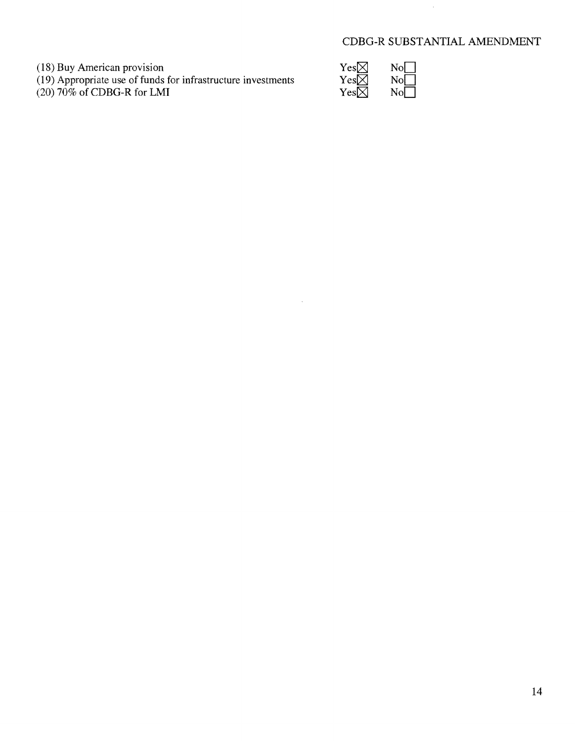### CDBG-R SUBSTANTIAL AMENDMENT

(18) Buy American provision  $Yes \times No \longrightarrow$ 

(19) Appropriate use of funds for infrastructure investments  $Yes \times$  NoD

(20) 70% of CDBG-R for LMI  $\text{Yes} \boxtimes \text{No}$ 

| Yes $\boxtimes$ | No       |
|-----------------|----------|
| Yes $\boxtimes$ | No       |
| Yes $\boxtimes$ | $\rm No$ |

 $\sim$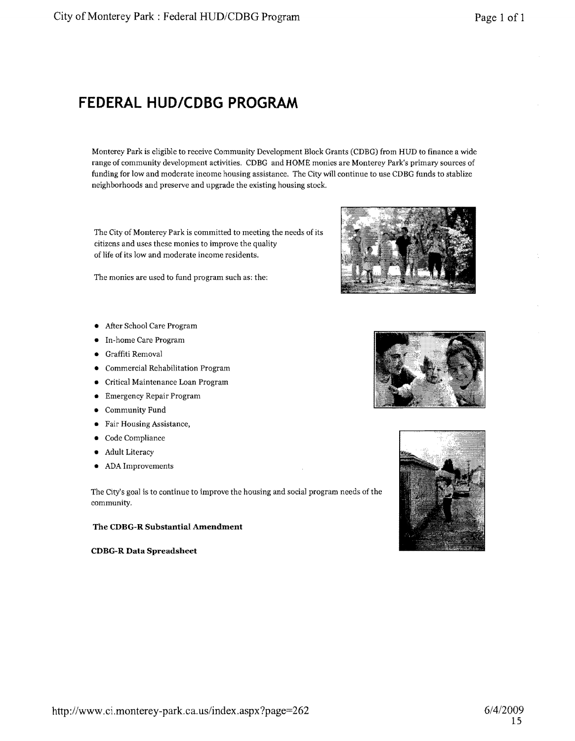# **FEDERAL HUD/CDBG PROGRAM**

Monterey Park is eligible to receive Community Development Block Grants (CDBG) from HUD to finance a wide range of community development activities. CDBG and HOME monies are Monterey Park's primary sources of funding for low and moderate income housing assistance. The City will continue to use CDBG funds to stablize neighborhoods and preserve and upgrade the existing housing stock.

The City of Monterey Park is committed to meeting the needs of its citizens and uses these monies to improve the quality of life of its low and moderate income residents.

The monies are used to fund program such as: the:

- After School Care Program
- In-home Care Program
- Graffiti Removal
- Commercial Rehabilitation Program
- Critical Maintenance Loan Program
- Emergency Repair Program
- Community Fund
- Fair Housing Assistance,
- Code Compliance
- Adult Literacy
- ADA Improvements

The City's goal is to continue to improve the housing and social program needs of the community.

#### The CDBG-R Substantial Amendment

CDBG-R Data Spreadsheet